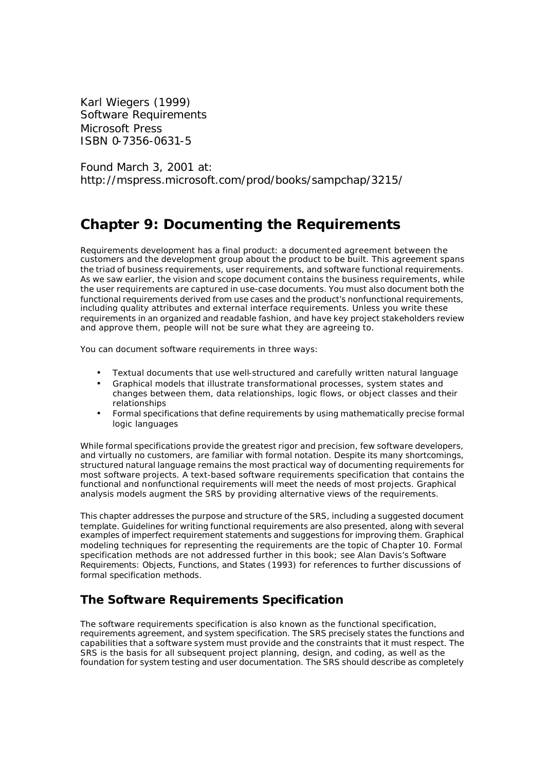Karl Wiegers (1999) Software Requirements Microsoft Press ISBN 0-7356-0631-5

Found March 3, 2001 at: http://mspress.microsoft.com/prod/books/sampchap/3215/

# **Chapter 9: Documenting the Requirements**

Requirements development has a final product: a documented agreement between the customers and the development group about the product to be built. This agreement spans the triad of business requirements, user requirements, and software functional requirements. As we saw earlier, the vision and scope document contains the business requirements, while the user requirements are captured in use-case documents. You must also document both the functional requirements derived from use cases and the product's nonfunctional requirements, including quality attributes and external interface requirements. Unless you write these requirements in an organized and readable fashion, and have key project stakeholders review and approve them, people will not be sure what they are agreeing to.

You can document software requirements in three ways:

- Textual documents that use well-structured and carefully written natural language
- Graphical models that illustrate transformational processes, system states and changes between them, data relationships, logic flows, or object classes and their relationships
- Formal specifications that define requirements by using mathematically precise formal logic languages

While formal specifications provide the greatest rigor and precision, few software developers, and virtually no customers, are familiar with formal notation. Despite its many shortcomings, structured natural language remains the most practical way of documenting requirements for most software projects. A text-based software requirements specification that contains the functional and nonfunctional requirements will meet the needs of most projects. Graphical analysis models augment the SRS by providing alternative views of the requirements.

This chapter addresses the purpose and structure of the SRS, including a suggested document template. Guidelines for writing functional requirements are also presented, along with several examples of imperfect requirement statements and suggestions for improving them. Graphical modeling techniques for representing the requirements are the topic of Chapter 10. Formal specification methods are not addressed further in this book; see Alan Davis's *Software Requirements: Objects, Functions, and States* (1993) for references to further discussions of formal specification methods.

## **The Software Requirements Specification**

The software requirements specification is also known as the functional specification, requirements agreement, and system specification. The SRS precisely states the functions and capabilities that a software system must provide and the constraints that it must respect. The SRS is the basis for all subsequent project planning, design, and coding, as well as the foundation for system testing and user documentation. The SRS should describe as completely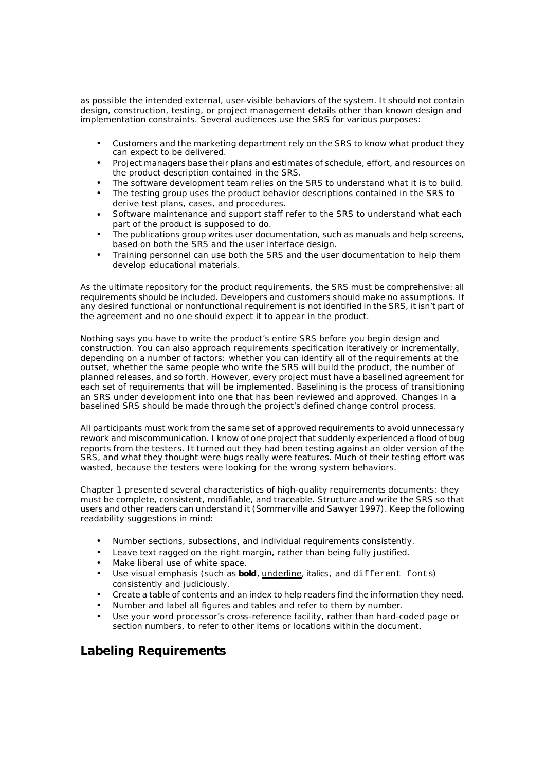as possible the intended external, user-visible behaviors of the system. It should not contain design, construction, testing, or project management details other than known design and implementation constraints. Several audiences use the SRS for various purposes:

- Customers and the marketing department rely on the SRS to know what product they can expect to be delivered.
- Project managers base their plans and estimates of schedule, effort, and resources on the product description contained in the SRS.
- The software development team relies on the SRS to understand what it is to build.
- The testing group uses the product behavior descriptions contained in the SRS to derive test plans, cases, and procedures.
- Software maintenance and support staff refer to the SRS to understand what each part of the product is supposed to do.
- The publications group writes user documentation, such as manuals and help screens, based on both the SRS and the user interface design.
- Training personnel can use both the SRS and the user documentation to help them develop educational materials.

As the ultimate repository for the product requirements, the SRS must be comprehensive: *all* requirements should be included. Developers and customers should make no assumptions. If any desired functional or nonfunctional requirement is not identified in the SRS, it isn't part of the agreement and no one should expect it to appear in the product.

Nothing says you have to write the product's entire SRS before you begin design and construction. You can also approach requirements specification iteratively or incrementally, depending on a number of factors: whether you can identify all of the requirements at the outset, whether the same people who write the SRS will build the product, the number of planned releases, and so forth. However, every project must have a baselined agreement for each set of requirements that will be implemented. *Baselining* is the process of transitioning an SRS under development into one that has been reviewed and approved. Changes in a baselined SRS should be made through the project's defined change control process.

All participants must work from the same set of approved requirements to avoid unnecessary rework and miscommunication. I know of one project that suddenly experienced a flood of bug reports from the testers. It turned out they had been testing against an older version of the SRS, and what they thought were bugs really were features. Much of their testing effort was wasted, because the testers were looking for the wrong system behaviors.

Chapter 1 presente d several characteristics of high-quality requirements documents: they must be complete, consistent, modifiable, and traceable. Structure and write the SRS so that users and other readers can understand it (Sommerville and Sawyer 1997). Keep the following readability suggestions in mind:

- Number sections, subsections, and individual requirements consistently.
- Leave text ragged on the right margin, rather than being fully justified.
- Make liberal use of white space.
- Use visual emphasis (such as **bold**, underline, *italics*, and different fonts) consistently and judiciously.
- Create a table of contents and an index to help readers find the information they need.
- Number and label all figures and tables and refer to them by number.
- Use your word processor's cross-reference facility, rather than hard-coded page or section numbers, to refer to other items or locations within the document.

## *Labeling Requirements*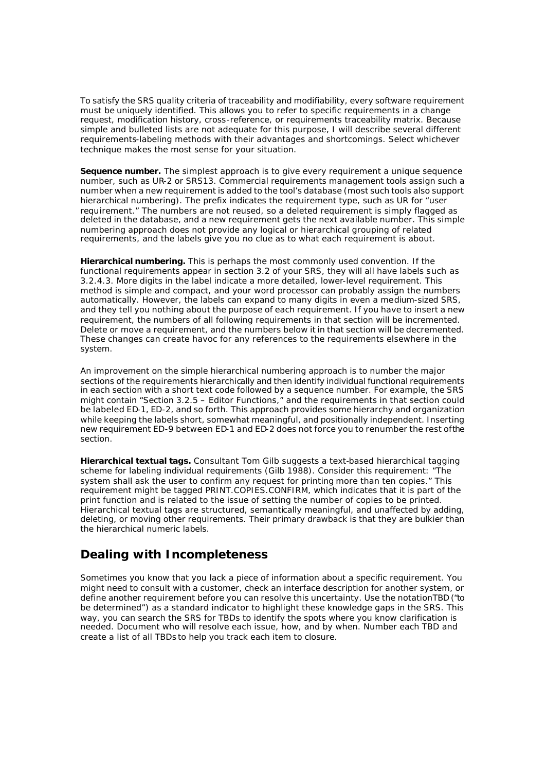To satisfy the SRS quality criteria of traceability and modifiability, every software requirement must be uniquely identified. This allows you to refer to specific requirements in a change request, modification history, cross-reference, or requirements traceability matrix. Because simple and bulleted lists are not adequate for this purpose, I will describe several different requirements-labeling methods with their advantages and shortcomings. Select whichever technique makes the most sense for your situation.

**Sequence number.** The simplest approach is to give every requirement a unique sequence number, such as UR-2 or SRS13. Commercial requirements management tools assign such a number when a new requirement is added to the tool's database (most such tools also support hierarchical numbering). The prefix indicates the requirement type, such as UR for "user requirement." The numbers are not reused, so a deleted requirement is simply flagged as deleted in the database, and a new requirement gets the next available number. This simple numbering approach does not provide any logical or hierarchical grouping of related requirements, and the labels give you no clue as to what each requirement is about.

**Hierarchical numbering.** This is perhaps the most commonly used convention. If the functional requirements appear in section 3.2 of your SRS, they will all have labels such as 3.2.4.3. More digits in the label indicate a more detailed, lower-level requirement. This method is simple and compact, and your word processor can probably assign the numbers automatically. However, the labels can expand to many digits in even a medium-sized SRS, and they tell you nothing about the purpose of each requirement. If you have to insert a new requirement, the numbers of all following requirements in that section will be incremented. Delete or move a requirement, and the numbers below it in that section will be decremented. These changes can create havoc for any references to the requirements elsewhere in the system.

An improvement on the simple hierarchical numbering approach is to number the major sections of the requirements hierarchically and then identify individual functional requirements in each section with a short text code followed by a sequence number. For example, the SRS might contain "Section 3.2.5 – Editor Functions," and the requirements in that section could be labeled ED-1, ED-2, and so forth. This approach provides some hierarchy and organization while keeping the labels short, somewhat meaningful, and positionally independent. Inserting new requirement ED-9 between ED-1 and ED-2 does not force you to renumber the rest of the section.

**Hierarchical textual tags.** Consultant Tom Gilb suggests a text-based hierarchical tagging scheme for labeling individual requirements (Gilb 1988). Consider this requirement: "The system shall ask the user to confirm any request for printing more than ten copies." This requirement might be tagged PRINT.COPIES.CONFIRM, which indicates that it is part of the print function and is related to the issue of setting the number of copies to be printed. Hierarchical textual tags are structured, semantically meaningful, and unaffected by adding, deleting, or moving other requirements. Their primary drawback is that they are bulkier than the hierarchical numeric labels.

## *Dealing with Incompleteness*

Sometimes you know that you lack a piece of information about a specific requirement. You might need to consult with a customer, check an interface description for another system, or define another requirement before you can resolve this uncertainty. Use the notation *TBD* ("to be determined") as a standard indicator to highlight these knowledge gaps in the SRS. This way, you can search the SRS for TBDs to identify the spots where you know clarification is needed. Document who will resolve each issue, how, and by when. Number each TBD and create a list of all TBDs to help you track each item to closure.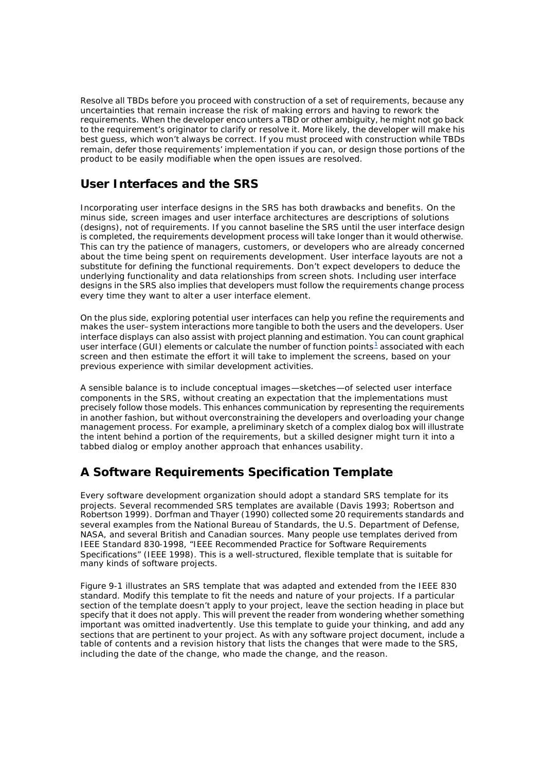Resolve all TBDs before you proceed with construction of a set of requirements, because any uncertainties that remain increase the risk of making errors and having to rework the requirements. When the developer enco unters a TBD or other ambiguity, he might not go back to the requirement's originator to clarify or resolve it. More likely, the developer will make his best guess, which won't always be correct. If you must proceed with construction while TBDs remain, defer those requirements' implementation if you can, or design those portions of the product to be easily modifiable when the open issues are resolved.

# *User Interfaces and the SRS*

Incorporating user interface designs in the SRS has both drawbacks and benefits. On the minus side, screen images and user interface architectures are descriptions of solutions (designs), not of requirements. If you cannot baseline the SRS until the user interface design is completed, the requirements development process will take longer than it would otherwise. This can try the patience of managers, customers, or developers who are already concerned about the time being spent on requirements development. User interface layouts are not a substitute for defining the functional requirements. Don't expect developers to deduce the underlying functionality and data relationships from screen shots. Including user interface designs in the SRS also implies that developers must follow the requirements change process every time they want to alter a user interface element.

On the plus side, exploring potential user interfaces can help you refine the requirements and makes the user–system interactions more tangible to both the users and the developers. User interface displays can also assist with project planning and estimation. You can count graphical user interface (GUI) elements or calculate the number of function points<sup>1</sup> associated with each screen and then estimate the effort it will take to implement the screens, based on your previous experience with similar development activities.

A sensible balance is to include conceptual images—sketches—of selected user interface components in the SRS, without creating an expectation that the implementations must precisely follow those models. This enhances communication by representing the requirements in another fashion, but without overconstraining the developers and overloading your change management process. For example, a preliminary sketch of a complex dialog box will illustrate the intent behind a portion of the requirements, but a skilled designer might turn it into a tabbed dialog or employ another approach that enhances usability.

# **A Software Requirements Specification Template**

Every software development organization should adopt a standard SRS template for its projects. Several recommended SRS templates are available (Davis 1993; Robertson and Robertson 1999). Dorfman and Thayer (1990) collected some 20 requirements standards and several examples from the National Bureau of Standards, the U.S. Department of Defense, NASA, and several British and Canadian sources. Many people use templates derived from IEEE Standard 830-1998, "IEEE Recommended Practice for Software Requirements Specifications" (IEEE 1998). This is a well-structured, flexible template that is suitable for many kinds of software projects.

Figure 9-1 illustrates an SRS template that was adapted and extended from the IEEE 830 standard. Modify this template to fit the needs and nature of your projects. If a particular section of the template doesn't apply to your project, leave the section heading in place but specify that it does not apply. This will prevent the reader from wondering whether something important was omitted inadvertently. Use this template to guide your thinking, and add any sections that are pertinent to your project. As with any software project document, include a table of contents and a revision history that lists the changes that were made to the SRS, including the date of the change, who made the change, and the reason.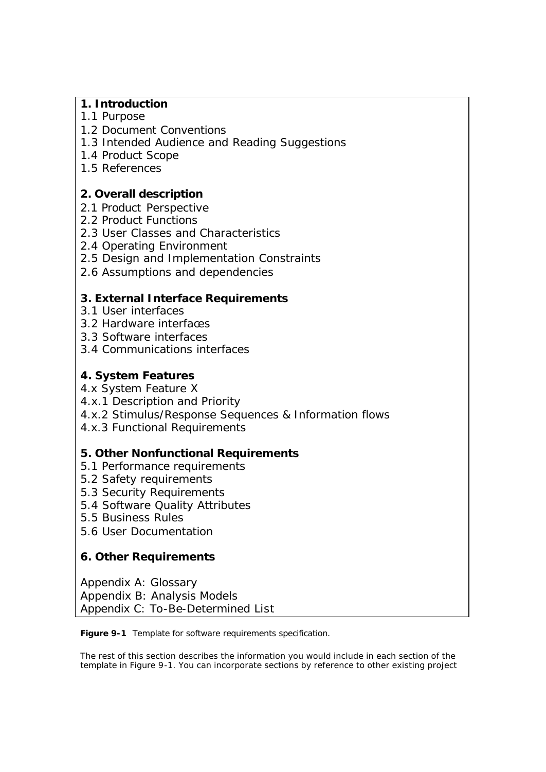### **1. Introduction**

- 1.1 Purpose
- 1.2 Document Conventions
- 1.3 Intended Audience and Reading Suggestions
- 1.4 Product Scope
- 1.5 References

# **2. Overall description**

- 2.1 Product Perspective
- 2.2 Product Functions
- 2.3 User Classes and Characteristics
- 2.4 Operating Environment
- 2.5 Design and Implementation Constraints
- 2.6 Assumptions and dependencies

# **3. External Interface Requirements**

- 3.1 User interfaces
- 3.2 Hardware interfaces
- 3.3 Software interfaces
- 3.4 Communications interfaces

# **4. System Features**

- 4.x System Feature X
- 4.x.1 Description and Priority
- 4.x.2 Stimulus/Response Sequences & Information flows
- 4.x.3 Functional Requirements

# **5. Other Nonfunctional Requirements**

- 5.1 Performance requirements
- 5.2 Safety requirements
- 5.3 Security Requirements
- 5.4 Software Quality Attributes
- 5.5 Business Rules
- 5.6 User Documentation

# **6. Other Requirements**

Appendix A: Glossary Appendix B: Analysis Models Appendix C: To-Be-Determined List

### **Figure 9-1** *Template for software requirements specification.*

The rest of this section describes the information you would include in each section of the template in Figure 9-1. You can incorporate sections by reference to other existing project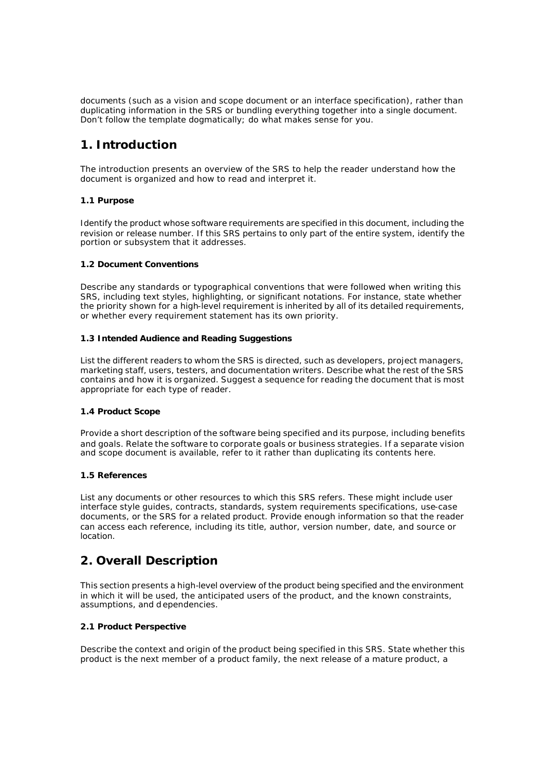documents (such as a vision and scope document or an interface specification), rather than duplicating information in the SRS or bundling everything together into a single document. Don't follow the template dogmatically; do what makes sense for you.

# *1. Introduction*

The introduction presents an overview of the SRS to help the reader understand how the document is organized and how to read and interpret it.

### **1.1 Purpose**

Identify the product whose software requirements are specified in this document, including the revision or release number. If this SRS pertains to only part of the entire system, identify the portion or subsystem that it addresses.

### **1.2 Document Conventions**

Describe any standards or typographical conventions that were followed when writing this SRS, including text styles, highlighting, or significant notations. For instance, state whether the priority shown for a high-level requirement is inherited by all of its detailed requirements, or whether every requirement statement has its own priority.

### **1.3 Intended Audience and Reading Suggestions**

List the different readers to whom the SRS is directed, such as developers, project managers, marketing staff, users, testers, and documentation writers. Describe what the rest of the SRS contains and how it is organized. Suggest a sequence for reading the document that is most appropriate for each type of reader.

### **1.4 Product Scope**

Provide a short description of the software being specified and its purpose, including benefits and goals. Relate the software to corporate goals or business strategies. If a separate vision and scope document is available, refer to it rather than duplicating its contents here.

### **1.5 References**

List any documents or other resources to which this SRS refers. These might include user interface style guides, contracts, standards, system requirements specifications, use-case documents, or the SRS for a related product. Provide enough information so that the reader can access each reference, including its title, author, version number, date, and source or location.

## *2. Overall Description*

This section presents a high-level overview of the product being specified and the environment in which it will be used, the anticipated users of the product, and the known constraints, assumptions, and d ependencies.

### **2.1 Product Perspective**

Describe the context and origin of the product being specified in this SRS. State whether this product is the next member of a product family, the next release of a mature product, a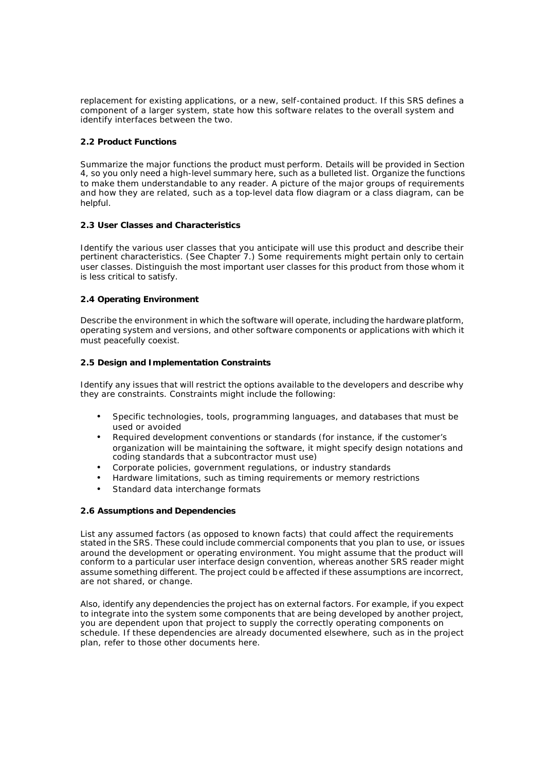replacement for existing applications, or a new, self-contained product. If this SRS defines a component of a larger system, state how this software relates to the overall system and identify interfaces between the two.

### **2.2 Product Functions**

Summarize the major functions the product must perform. Details will be provided in Section 4, so you only need a high-level summary here, such as a bulleted list. Organize the functions to make them understandable to any reader. A picture of the major groups of requirements and how they are related, such as a top-level data flow diagram or a class diagram, can be helpful.

### **2.3 User Classes and Characteristics**

Identify the various user classes that you anticipate will use this product and describe their pertinent characteristics. (See Chapter 7.) Some requirements might pertain only to certain user classes. Distinguish the most important user classes for this product from those whom it is less critical to satisfy.

### **2.4 Operating Environment**

Describe the environment in which the software will operate, including the hardware platform, operating system and versions, and other software components or applications with which it must peacefully coexist.

### **2.5 Design and Implementation Constraints**

Identify any issues that will restrict the options available to the developers and describe why they are constraints. Constraints might include the following:

- Specific technologies, tools, programming languages, and databases that must be used or avoided
- Required development conventions or standards (for instance, if the customer's organization will be maintaining the software, it might specify design notations and coding standards that a subcontractor must use)
- Corporate policies, government regulations, or industry standards
- Hardware limitations, such as timing requirements or memory restrictions
- Standard data interchange formats

### **2.6 Assumptions and Dependencies**

List any assumed factors (as opposed to known facts) that could affect the requirements stated in the SRS. These could include commercial components that you plan to use, or issues around the development or operating environment. You might assume that the product will conform to a particular user interface design convention, whereas another SRS reader might assume something different. The project could b e affected if these assumptions are incorrect, are not shared, or change.

Also, identify any dependencies the project has on external factors. For example, if you expect to integrate into the system some components that are being developed by another project, you are dependent upon that project to supply the correctly operating components on schedule. If these dependencies are already documented elsewhere, such as in the project plan, refer to those other documents here.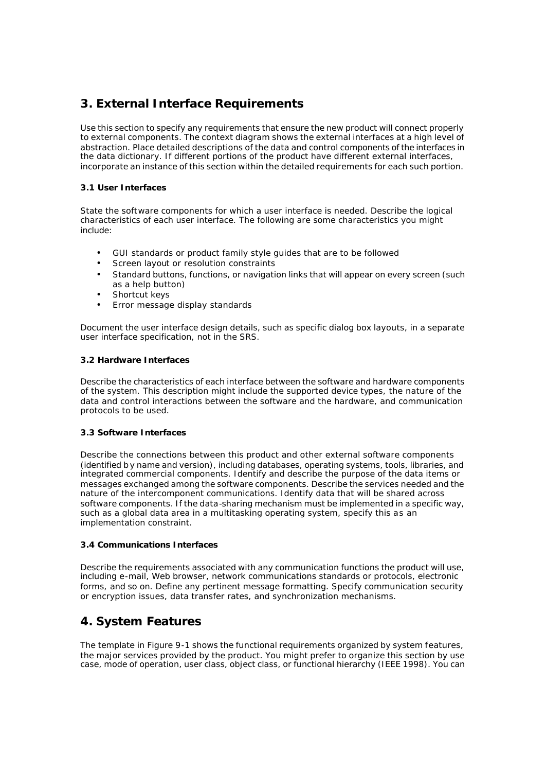# *3. External Interface Requirements*

Use this section to specify any requirements that ensure the new product will connect properly to external components. The context diagram shows the external interfaces at a high level of abstraction. Place detailed descriptions of the data and control components of the interfaces in the data dictionary. If different portions of the product have different external interfaces, incorporate an instance of this section within the detailed requirements for each such portion.

### **3.1 User Interfaces**

State the software components for which a user interface is needed. Describe the logical characteristics of each user interface. The following are some characteristics you might include:

- GUI standards or product family style guides that are to be followed
- Screen layout or resolution constraints
- Standard buttons, functions, or navigation links that will appear on every screen (such as a help button)
- Shortcut keys
- Error message display standards

Document the user interface design details, such as specific dialog box layouts, in a separate user interface specification, not in the SRS.

### **3.2 Hardware Interfaces**

Describe the characteristics of each interface between the software and hardware components of the system. This description might include the supported device types, the nature of the data and control interactions between the software and the hardware, and communication protocols to be used.

### **3.3 Software Interfaces**

Describe the connections between this product and other external software components (identified by name and version), including databases, operating systems, tools, libraries, and integrated commercial components. Identify and describe the purpose of the data items or messages exchanged among the software components. Describe the services needed and the nature of the intercomponent communications. Identify data that will be shared across software components. If the data-sharing mechanism must be implemented in a specific way, such as a global data area in a multitasking operating system, specify this as an implementation constraint.

### **3.4 Communications Interfaces**

Describe the requirements associated with any communication functions the product will use, including e-mail, Web browser, network communications standards or protocols, electronic forms, and so on. Define any pertinent message formatting. Specify communication security or encryption issues, data transfer rates, and synchronization mechanisms.

# *4. System Features*

The template in Figure 9-1 shows the functional requirements organized by system features, the major services provided by the product. You might prefer to organize this section by use case, mode of operation, user class, object class, or functional hierarchy (IEEE 1998). You can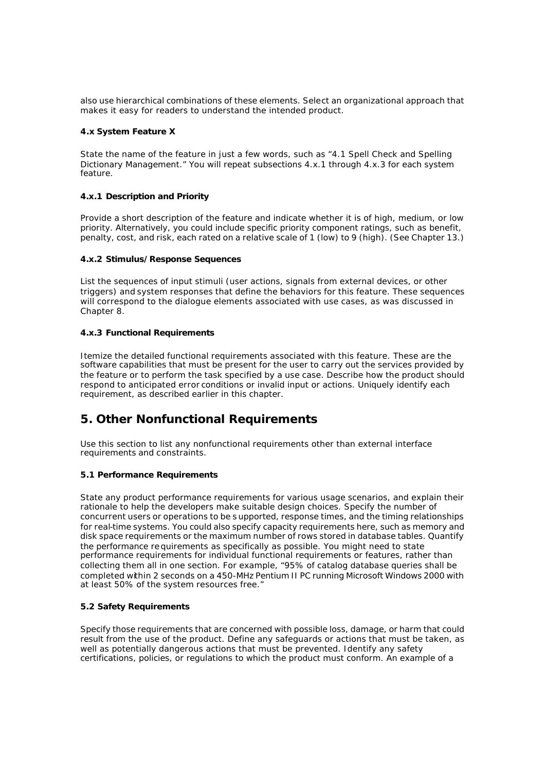also use hierarchical combinations of these elements. Select an organizational approach that makes it easy for readers to understand the intended product.

#### **4.x System Feature X**

State the name of the feature in just a few words, such as "4.1 Spell Check and Spelling Dictionary Management." You will repeat subsections 4.x.1 through 4.x.3 for each system feature.

#### **4.x.1 Description and Priority**

Provide a short description of the feature and indicate whether it is of high, medium, or low priority. Alternatively, you could include specific priority component ratings, such as benefit, penalty, cost, and risk, each rated on a relative scale of 1 (low) to 9 (high). (See Chapter 13.)

#### **4.x.2 Stimulus/Response Sequences**

List the sequences of input stimuli (user actions, signals from external devices, or other triggers) and system responses that define the behaviors for this feature. These sequences will correspond to the dialogue elements associated with use cases, as was discussed in Chapter 8.

#### **4.x.3 Functional Requirements**

Itemize the detailed functional requirements associated with this feature. These are the software capabilities that must be present for the user to carry out the services provided by the feature or to perform the task specified by a use case. Describe how the product should respond to anticipated error conditions or invalid input or actions. Uniquely identify each requirement, as described earlier in this chapter.

### *5. Other Nonfunctional Requirements*

Use this section to list any nonfunctional requirements other than external interface requirements and constraints.

### **5.1 Performance Requirements**

State any product performance requirements for various usage scenarios, and explain their rationale to help the developers make suitable design choices. Specify the number of concurrent users or operations to be s upported, response times, and the timing relationships for real-time systems. You could also specify capacity requirements here, such as memory and disk space requirements or the maximum number of rows stored in database tables. Quantify the performance re quirements as specifically as possible. You might need to state performance requirements for individual functional requirements or features, rather than collecting them all in one section. For example, "95% of catalog database queries shall be completed within 2 seconds on a 450-MHz Pentium II PC running Microsoft Windows 2000 with at least 50% of the system resources free."

### **5.2 Safety Requirements**

Specify those requirements that are concerned with possible loss, damage, or harm that could result from the use of the product. Define any safeguards or actions that must be taken, as well as potentially dangerous actions that must be prevented. Identify any safety certifications, policies, or regulations to which the product must conform. An example of a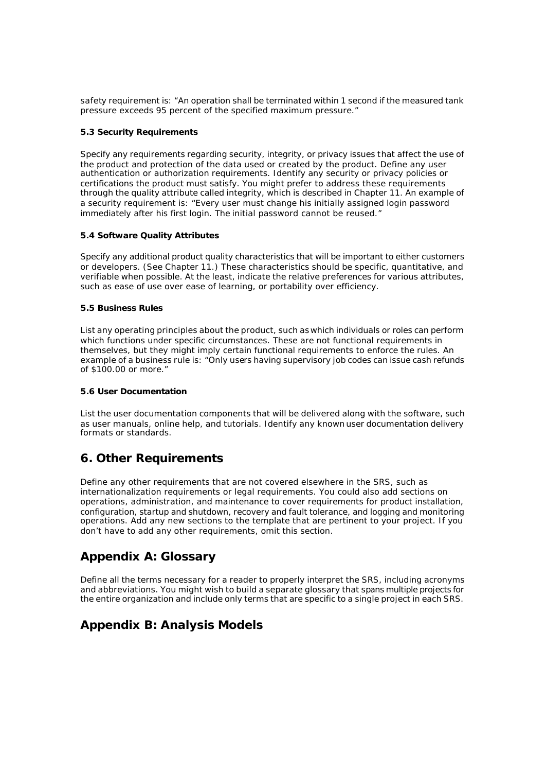safety requirement is: "An operation shall be terminated within 1 second if the measured tank pressure exceeds 95 percent of the specified maximum pressure."

### **5.3 Security Requirements**

Specify any requirements regarding security, integrity, or privacy issues that affect the use of the product and protection of the data used or created by the product. Define any user authentication or authorization requirements. Identify any security or privacy policies or certifications the product must satisfy. You might prefer to address these requirements through the quality attribute called integrity, which is described in Chapter 11. An example of a security requirement is: "Every user must change his initially assigned login password immediately after his first login. The initial password cannot be reused."

### **5.4 Software Quality Attributes**

Specify any additional product quality characteristics that will be important to either customers or developers. (See Chapter 11.) These characteristics should be specific, quantitative, and verifiable when possible. At the least, indicate the relative preferences for various attributes, such as ease of use over ease of learning, or portability over efficiency.

### **5.5 Business Rules**

List any operating principles about the product, such as which individuals or roles can perform which functions under specific circumstances. These are not functional requirements in themselves, but they might imply certain functional requirements to enforce the rules. An example of a business rule is: "Only users having supervisory job codes can issue cash refunds of \$100.00 or more."

### **5.6 User Documentation**

List the user documentation components that will be delivered along with the software, such as user manuals, online help, and tutorials. Identify any known user documentation delivery formats or standards.

## *6. Other Requirements*

Define any other requirements that are not covered elsewhere in the SRS, such as internationalization requirements or legal requirements. You could also add sections on operations, administration, and maintenance to cover requirements for product installation, configuration, startup and shutdown, recovery and fault tolerance, and logging and monitoring operations. Add any new sections to the template that are pertinent to your project. If you don't have to add any other requirements, omit this section.

## *Appendix A: Glossary*

Define all the terms necessary for a reader to properly interpret the SRS, including acronyms and abbreviations. You might wish to build a separate glossary that spans multiple projects for the entire organization and include only terms that are specific to a single project in each SRS.

# *Appendix B: Analysis Models*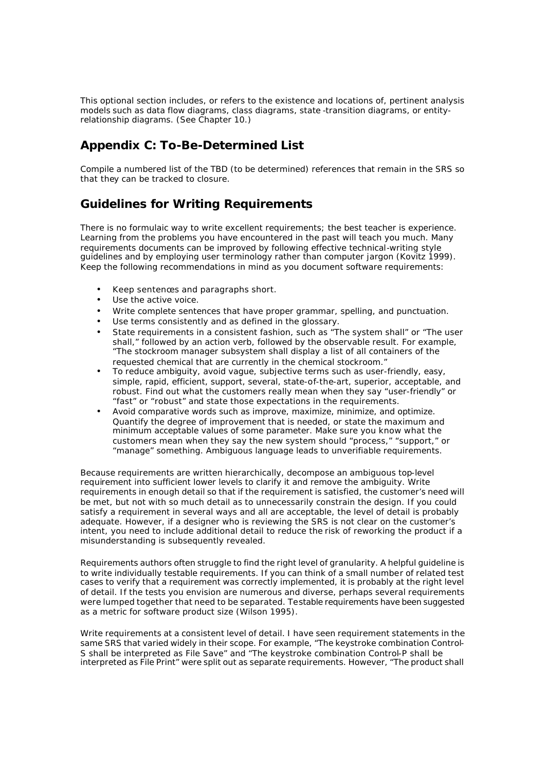This optional section includes, or refers to the existence and locations of, pertinent analysis models such as data flow diagrams, class diagrams, state -transition diagrams, or entityrelationship diagrams. (See Chapter 10.)

# *Appendix C: To-Be-Determined List*

Compile a numbered list of the TBD (to be determined) references that remain in the SRS so that they can be tracked to closure.

# **Guidelines for Writing Requirements**

There is no formulaic way to write excellent requirements; the best teacher is experience. Learning from the problems you have encountered in the past will teach you much. Many requirements documents can be improved by following effective technical-writing style guidelines and by employing user terminology rather than computer jargon (Kovitz 1999). Keep the following recommendations in mind as you document software requirements:

- Keep sentences and paragraphs short.
- Use the active voice.
- Write complete sentences that have proper grammar, spelling, and punctuation.
- Use terms consistently and as defined in the glossary.
- State requirements in a consistent fashion, such as "The system shall" or "The user shall," followed by an action verb, followed by the observable result. For example, "The stockroom manager subsystem shall display a list of all containers of the requested chemical that are currently in the chemical stockroom."
- To reduce ambiguity, avoid vague, subjective terms such as user-friendly, easy, simple, rapid, efficient, support, several, state-of-the-art, superior, acceptable, and robust. Find out what the customers really mean when they say "user-friendly" or "fast" or "robust" and state those expectations in the requirements.
- Avoid comparative words such as improve, maximize, minimize, and optimize. Quantify the degree of improvement that is needed, or state the maximum and minimum acceptable values of some parameter. Make sure you know what the customers mean when they say the new system should "process," "support," or "manage" something. Ambiguous language leads to unverifiable requirements.

Because requirements are written hierarchically, decompose an ambiguous top-level requirement into sufficient lower levels to clarify it and remove the ambiguity. Write requirements in enough detail so that if the requirement is satisfied, the customer's need will be met, but not with so much detail as to unnecessarily constrain the design. If you could satisfy a requirement in several ways and all are acceptable, the level of detail is probably adequate. However, if a designer who is reviewing the SRS is not clear on the customer's intent, you need to include additional detail to reduce the risk of reworking the product if a misunderstanding is subsequently revealed.

Requirements authors often struggle to find the right level of granularity. A helpful guideline is to write individually testable requirements. If you can think of a small number of related test cases to verify that a requirement was correctly implemented, it is probably at the right level of detail. If the tests you envision are numerous and diverse, perhaps several requirements were lumped together that need to be separated. Testable requirements have been suggested as a metric for software product size (Wilson 1995).

Write requirements at a consistent level of detail. I have seen requirement statements in the same SRS that varied widely in their scope. For example, "The keystroke combination Control-S shall be interpreted as File Save" and "The keystroke combination Control-P shall be interpreted as File Print" were split out as separate requirements. However, "The product shall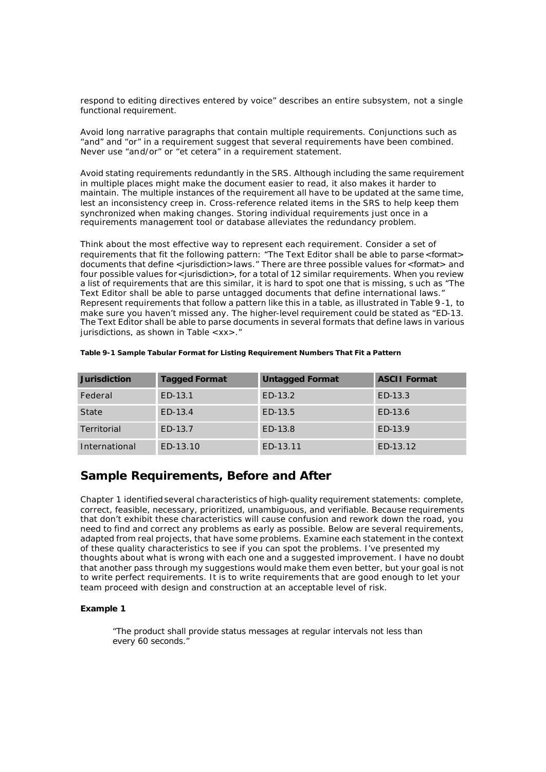respond to editing directives entered by voice" describes an entire subsystem, not a single functional requirement.

Avoid long narrative paragraphs that contain multiple requirements. Conjunctions such as "and" and "or" in a requirement suggest that several requirements have been combined. Never use "and/or" or "et cetera" in a requirement statement.

Avoid stating requirements redundantly in the SRS. Although including the same requirement in multiple places might make the document easier to read, it also makes it harder to maintain. The multiple instances of the requirement all have to be updated at the same time, lest an inconsistency creep in. Cross-reference related items in the SRS to help keep them synchronized when making changes. Storing individual requirements just once in a requirements management tool or database alleviates the redundancy problem.

Think about the most effective way to represent each requirement. Consider a set of requirements that fit the following pattern: "The Text Editor shall be able to parse *<format>* documents that define *<jurisdiction>* laws." There are three possible values for *<format>* and four possible values for *<jurisdiction>*, for a total of 12 similar requirements. When you review a list of requirements that are this similar, it is hard to spot one that is missing, s uch as "The Text Editor shall be able to parse untagged documents that define international laws." Represent requirements that follow a pattern like this in a table, as illustrated in Table 9 -1, to make sure you haven't missed any. The higher-level requirement could be stated as "ED-13. The Text Editor shall be able to parse documents in several formats that define laws in various jurisdictions, as shown in Table <xx>."

| <b>Jurisdiction</b> | <b>Tagged Format</b> | <b>Untagged Format</b> | <b>ASCII Format</b> |
|---------------------|----------------------|------------------------|---------------------|
| Federal             | ED-13.1              | $ED-13.2$              | ED-13.3             |
| <b>State</b>        | $ED-13.4$            | ED-13.5                | ED-13.6             |
| Territorial         | ED-13.7              | ED-13.8                | ED-13.9             |
| International       | ED-13.10             | ED-13.11               | ED-13.12            |

#### **Table 9-1 Sample Tabular Format for Listing Requirement Numbers That Fit a Pattern**

### **Sample Requirements, Before and After**

Chapter 1 identified several characteristics of high-quality requirement statements: complete, correct, feasible, necessary, prioritized, unambiguous, and verifiable. Because requirements that don't exhibit these characteristics will cause confusion and rework down the road, you need to find and correct any problems as early as possible. Below are several requirements, adapted from real projects, that have some problems. Examine each statement in the context of these quality characteristics to see if you can spot the problems. I've presented my thoughts about what is wrong with each one and a suggested improvement. I have no doubt that another pass through my suggestions would make them even better, but your goal is not to write perfect requirements. It is to write requirements that are good enough to let your team proceed with design and construction at an acceptable level of risk.

### **Example 1**

*"The product shall provide status messages at regular intervals not less than every 60 seconds."*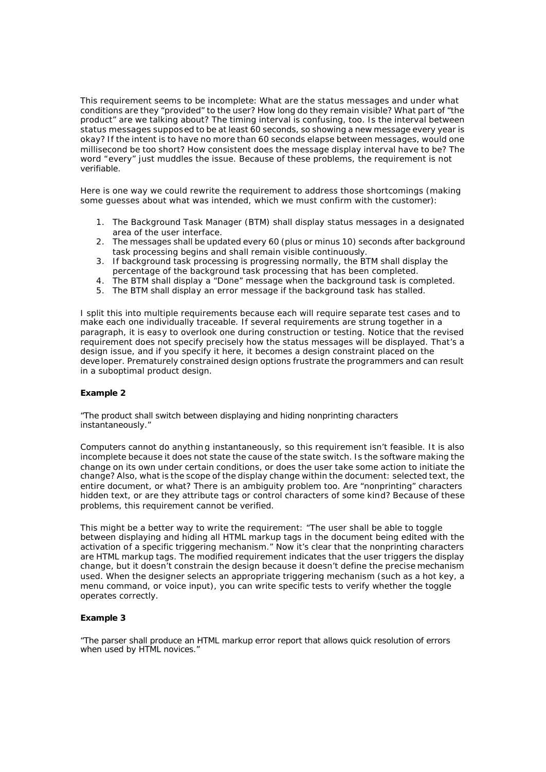This requirement seems to be incomplete: What are the status messages and under what conditions are they "provided" to the user? How long do they remain visible? What part of "the product" are we talking about? The timing interval is confusing, too. Is the interval between status messages supposed to be at least 60 seconds, so showing a new message every year is okay? If the intent is to have no more than 60 seconds elapse between messages, would one millisecond be too short? How consistent does the message display interval have to be? The word "every" just muddles the issue. Because of these problems, the requirement is not verifiable.

Here is one way we could rewrite the requirement to address those shortcomings (making some guesses about what was intended, which we must confirm with the customer):

- 1. The Background Task Manager (BTM) shall display status messages in a designated area of the user interface.
- 2. The messages shall be updated every 60 (plus or minus 10) seconds after background task processing begins and shall remain visible continuously.
- 3. If background task processing is progressing normally, the BTM shall display the percentage of the background task processing that has been completed.
- 4. The BTM shall display a "Done" message when the background task is completed.
- 5. The BTM shall display an error message if the background task has stalled.

I split this into multiple requirements because each will require separate test cases and to make each one individually traceable. If several requirements are strung together in a paragraph, it is easy to overlook one during construction or testing. Notice that the revised requirement does not specify precisely how the status messages will be displayed. That's a design issue, and if you specify it here, it becomes a design constraint placed on the developer. Prematurely constrained design options frustrate the programmers and can result in a suboptimal product design.

#### **Example 2**

#### *"The product shall switch between displaying and hiding nonprinting characters instantaneously."*

Computers cannot do anythin g instantaneously, so this requirement isn't feasible. It is also incomplete because it does not state the cause of the state switch. Is the software making the change on its own under certain conditions, or does the user take some action to initiate the change? Also, what is the scope of the display change within the document: selected text, the entire document, or what? There is an ambiguity problem too. Are "nonprinting" characters hidden text, or are they attribute tags or control characters of some kind? Because of these problems, this requirement cannot be verified.

This might be a better way to write the requirement: "The user shall be able to toggle between displaying and hiding all HTML markup tags in the document being edited with the activation of a specific triggering mechanism." Now it's clear that the nonprinting characters are HTML markup tags. The modified requirement indicates that the user triggers the display change, but it doesn't constrain the design because it doesn't define the precise mechanism used. When the designer selects an appropriate triggering mechanism (such as a hot key, a menu command, or voice input), you can write specific tests to verify whether the toggle operates correctly.

#### **Example 3**

*"The parser shall produce an HTML markup error report that allows quick resolution of errors when used by HTML novices."*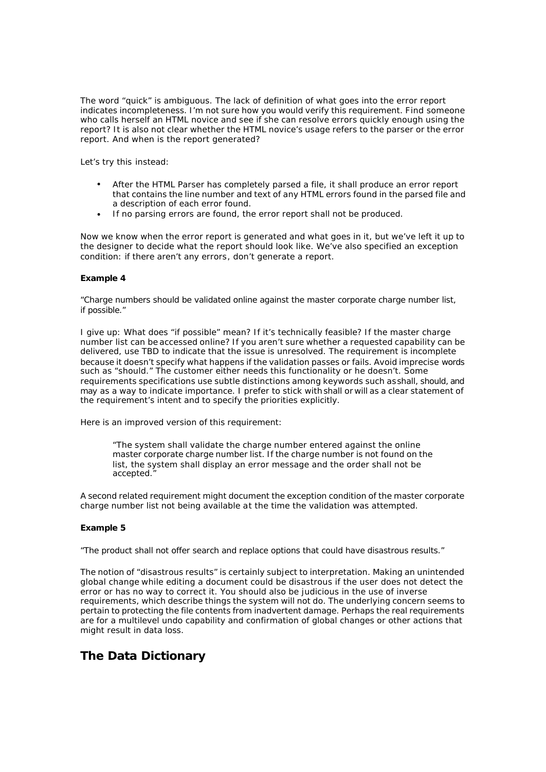The word "quick" is ambiguous. The lack of definition of what goes into the error report indicates incompleteness. I'm not sure how you would verify this requirement. Find someone who calls herself an HTML novice and see if she can resolve errors quickly enough using the report? It is also not clear whether the HTML novice's usage refers to the parser or the error report. And when is the report generated?

Let's try this instead:

- After the HTML Parser has completely parsed a file, it shall produce an error report that contains the line number and text of any HTML errors found in the parsed file and a description of each error found.
- If no parsing errors are found, the error report shall not be produced.

Now we know when the error report is generated and what goes in it, but we've left it up to the designer to decide what the report should look like. We've also specified an exception condition: if there aren't any errors, don't generate a report.

#### **Example 4**

*"Charge numbers should be validated online against the master corporate charge number list, if possible."*

I give up: What does "if possible" mean? If it's technically feasible? If the master charge number list can be accessed online? If you aren't sure whether a requested capability can be delivered, use TBD to indicate that the issue is unresolved. The requirement is incomplete because it doesn't specify what happens if the validation passes or fails. Avoid imprecise words such as "should." The customer either needs this functionality or he doesn't. Some requirements specifications use subtle distinctions among keywords such as *shall, should,* and *may* as a way to indicate importance. I prefer to stick with *shall* or *will* as a clear statement of the requirement's intent and to specify the priorities explicitly.

Here is an improved version of this requirement:

"The system shall validate the charge number entered against the online master corporate charge number list. If the charge number is not found on the list, the system shall display an error message and the order shall not be accepted."

A second related requirement might document the exception condition of the master corporate charge number list not being available at the time the validation was attempted.

### **Example 5**

*"The product shall not offer search and replace options that could have disastrous results."*

The notion of "disastrous results" is certainly subject to interpretation. Making an unintended global change while editing a document could be disastrous if the user does not detect the error or has no way to correct it. You should also be judicious in the use of inverse requirements, which describe things the system will not do. The underlying concern seems to pertain to protecting the file contents from inadvertent damage. Perhaps the real requirements are for a multilevel undo capability and confirmation of global changes or other actions that might result in data loss.

## **The Data Dictionary**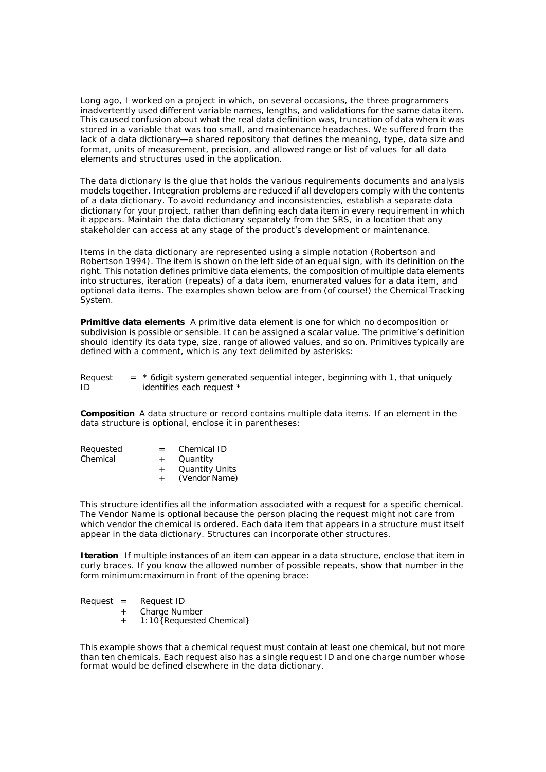Long ago, I worked on a project in which, on several occasions, the three programmers inadvertently used different variable names, lengths, and validations for the same data item. This caused confusion about what the real data definition was, truncation of data when it was stored in a variable that was too small, and maintenance headaches. We suffered from the lack of a data dictionary—a shared repository that defines the meaning, type, data size and format, units of measurement, precision, and allowed range or list of values for all data elements and structures used in the application.

The data dictionary is the glue that holds the various requirements documents and analysis models together. Integration problems are reduced if all developers comply with the contents of a data dictionary. To avoid redundancy and inconsistencies, establish a separate data dictionary for your project, rather than defining each data item in every requirement in which it appears. Maintain the data dictionary separately from the SRS, in a location that any stakeholder can access at any stage of the product's development or maintenance.

Items in the data dictionary are represented using a simple notation (Robertson and Robertson 1994). The item is shown on the left side of an equal sign, with its definition on the right. This notation defines primitive data elements, the composition of multiple data elements into structures, iteration (repeats) of a data item, enumerated values for a data item, and optional data items. The examples shown below are from (of course!) the Chemical Tracking System.

**Primitive data elements** A primitive data element is one for which no decomposition or subdivision is possible or sensible. It can be assigned a scalar value. The primitive's definition should identify its data type, size, range of allowed values, and so on. Primitives typically are defined with a comment, which is any text delimited by asterisks:

*Request ID = \* 6digit system generated sequential integer, beginning with 1, that uniquely identifies each request \**

**Composition** A data structure or record contains multiple data items. If an element in the data structure is optional, enclose it in parentheses:

| Requested | $=$    | Chemical ID           |
|-----------|--------|-----------------------|
| Chemical  | $^{+}$ | Quantity              |
|           |        | <b>Quantity Units</b> |
|           | $^{+}$ | (Vendor Name)         |
|           |        |                       |

This structure identifies all the information associated with a request for a specific chemical. The Vendor Name is optional because the person placing the request might not care from which vendor the chemical is ordered. Each data item that appears in a structure must itself appear in the data dictionary. Structures can incorporate other structures.

**Iteration** If multiple instances of an item can appear in a data structure, enclose that item in curly braces. If you know the allowed number of possible repeats, show that number in the form *minimum: maximum* in front of the opening brace:

*Request = Request ID*

> *+ Charge Number*

*+ 1:10{Requested Chemical}*

This example shows that a chemical request must contain at least one chemical, but not more than ten chemicals. Each request also has a single request ID and one charge number whose format would be defined elsewhere in the data dictionary.